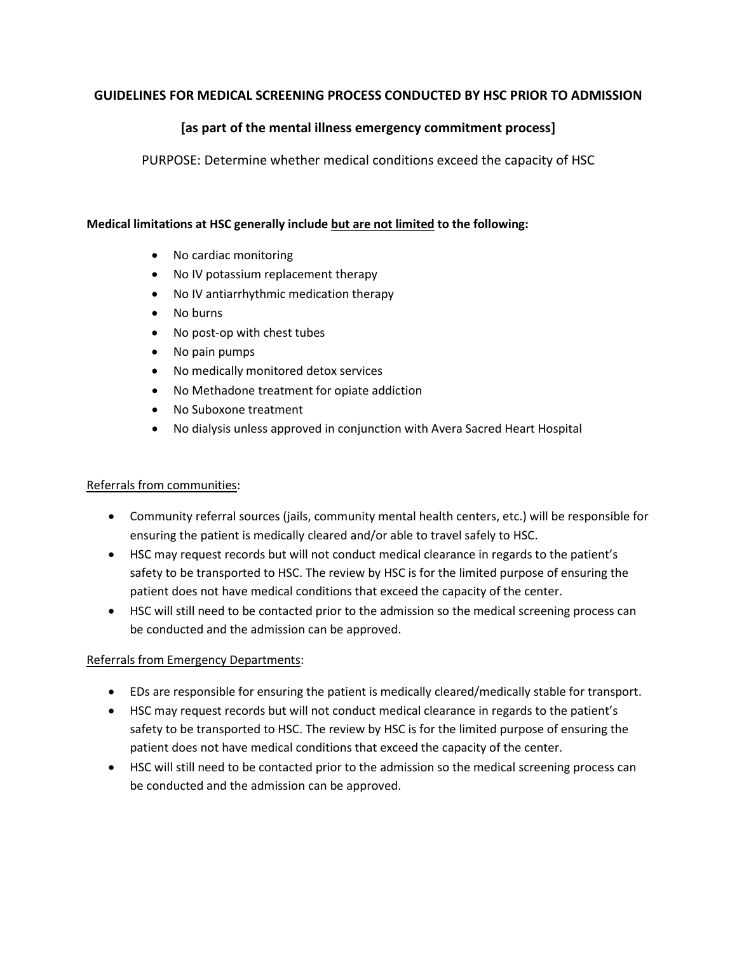# **GUIDELINES FOR MEDICAL SCREENING PROCESS CONDUCTED BY HSC PRIOR TO ADMISSION**

# **[as part of the mental illness emergency commitment process]**

PURPOSE: Determine whether medical conditions exceed the capacity of HSC

#### **Medical limitations at HSC generally include but are not limited to the following:**

- No cardiac monitoring
- No IV potassium replacement therapy
- No IV antiarrhythmic medication therapy
- No burns
- No post-op with chest tubes
- No pain pumps
- No medically monitored detox services
- No Methadone treatment for opiate addiction
- No Suboxone treatment
- No dialysis unless approved in conjunction with Avera Sacred Heart Hospital

## Referrals from communities:

- Community referral sources (jails, community mental health centers, etc.) will be responsible for ensuring the patient is medically cleared and/or able to travel safely to HSC.
- HSC may request records but will not conduct medical clearance in regards to the patient's safety to be transported to HSC. The review by HSC is for the limited purpose of ensuring the patient does not have medical conditions that exceed the capacity of the center.
- HSC will still need to be contacted prior to the admission so the medical screening process can be conducted and the admission can be approved.

## Referrals from Emergency Departments:

- EDs are responsible for ensuring the patient is medically cleared/medically stable for transport.
- HSC may request records but will not conduct medical clearance in regards to the patient's safety to be transported to HSC. The review by HSC is for the limited purpose of ensuring the patient does not have medical conditions that exceed the capacity of the center.
- HSC will still need to be contacted prior to the admission so the medical screening process can be conducted and the admission can be approved.